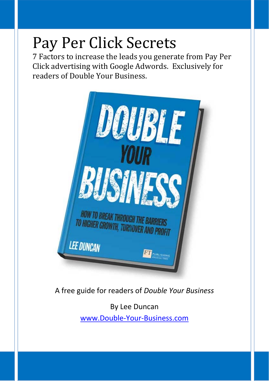# Pay Per Click Secrets

7 Factors to increase the leads you generate from Pay Per Click advertising with Google Adwords. Exclusively for readers of Double Your Business.



A free guide for readers of *Double Your Business*

By Lee Duncan www.Double‐Your‐Business.com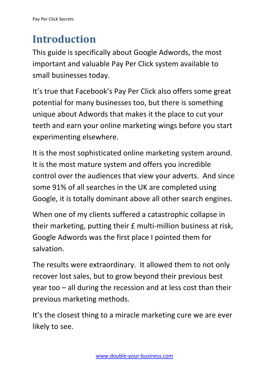## **Introduction**

This guide is specifically about Google Adwords, the most important and valuable Pay Per Click system available to small businesses today.

It's true that Facebook's Pay Per Click also offers some great potential for many businesses too, but there is something unique about Adwords that makes it the place to cut your teeth and earn your online marketing wings before you start experimenting elsewhere.

It is the most sophisticated online marketing system around. It is the most mature system and offers you incredible control over the audiences that view your adverts. And since some 91% of all searches in the UK are completed using Google, it is totally dominant above all other search engines.

When one of my clients suffered a catastrophic collapse in their marketing, putting their £ multi‐million business at risk, Google Adwords was the first place I pointed them for salvation.

The results were extraordinary. It allowed them to not only recover lost sales, but to grow beyond their previous best year too – all during the recession and at less cost than their previous marketing methods.

It's the closest thing to a miracle marketing cure we are ever likely to see.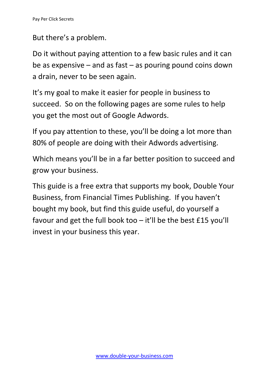But there's a problem.

Do it without paying attention to a few basic rules and it can be as expensive – and as fast – as pouring pound coins down a drain, never to be seen again.

It's my goal to make it easier for people in business to succeed. So on the following pages are some rules to help you get the most out of Google Adwords.

If you pay attention to these, you'll be doing a lot more than 80% of people are doing with their Adwords advertising.

Which means you'll be in a far better position to succeed and grow your business.

This guide is a free extra that supports my book, Double Your Business, from Financial Times Publishing. If you haven't bought my book, but find this guide useful, do yourself a favour and get the full book too – it'll be the best £15 you'll invest in your business this year.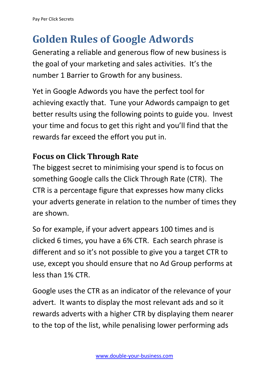# **Golden Rules of Google Adwords**

Generating a reliable and generous flow of new business is the goal of your marketing and sales activities. It's the number 1 Barrier to Growth for any business.

Yet in Google Adwords you have the perfect tool for achieving exactly that. Tune your Adwords campaign to get better results using the following points to guide you. Invest your time and focus to get this right and you'll find that the rewards far exceed the effort you put in.

### **Focus on Click Through Rate**

The biggest secret to minimising your spend is to focus on something Google calls the Click Through Rate (CTR). The CTR is a percentage figure that expresses how many clicks your adverts generate in relation to the number of times they are shown.

So for example, if your advert appears 100 times and is clicked 6 times, you have a 6% CTR. Each search phrase is different and so it's not possible to give you a target CTR to use, except you should ensure that no Ad Group performs at less than 1% CTR.

Google uses the CTR as an indicator of the relevance of your advert. It wants to display the most relevant ads and so it rewards adverts with a higher CTR by displaying them nearer to the top of the list, while penalising lower performing ads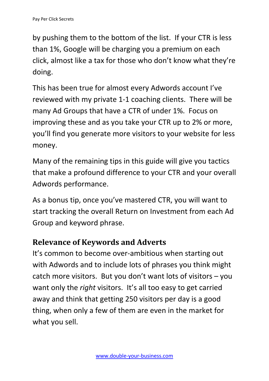by pushing them to the bottom of the list. If your CTR is less than 1%, Google will be charging you a premium on each click, almost like a tax for those who don't know what they're doing.

This has been true for almost every Adwords account I've reviewed with my private 1‐1 coaching clients. There will be many Ad Groups that have a CTR of under 1%. Focus on improving these and as you take your CTR up to 2% or more, you'll find you generate more visitors to your website for less money.

Many of the remaining tips in this guide will give you tactics that make a profound difference to your CTR and your overall Adwords performance.

As a bonus tip, once you've mastered CTR, you will want to start tracking the overall Return on Investment from each Ad Group and keyword phrase.

### **Relevance of Keywords and Adverts**

It's common to become over-ambitious when starting out with Adwords and to include lots of phrases you think might catch more visitors. But you don't want lots of visitors – you want only the *right* visitors. It's all too easy to get carried away and think that getting 250 visitors per day is a good thing, when only a few of them are even in the market for what you sell.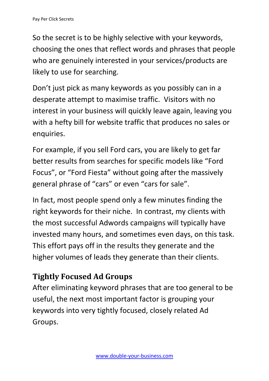So the secret is to be highly selective with your keywords, choosing the ones that reflect words and phrases that people who are genuinely interested in your services/products are likely to use for searching.

Don't just pick as many keywords as you possibly can in a desperate attempt to maximise traffic. Visitors with no interest in your business will quickly leave again, leaving you with a hefty bill for website traffic that produces no sales or enquiries.

For example, if you sell Ford cars, you are likely to get far better results from searches for specific models like "Ford Focus", or "Ford Fiesta" without going after the massively general phrase of "cars" or even "cars for sale".

In fact, most people spend only a few minutes finding the right keywords for their niche. In contrast, my clients with the most successful Adwords campaigns will typically have invested many hours, and sometimes even days, on this task. This effort pays off in the results they generate and the higher volumes of leads they generate than their clients.

### **Tightly Focused Ad Groups**

After eliminating keyword phrases that are too general to be useful, the next most important factor is grouping your keywords into very tightly focused, closely related Ad Groups.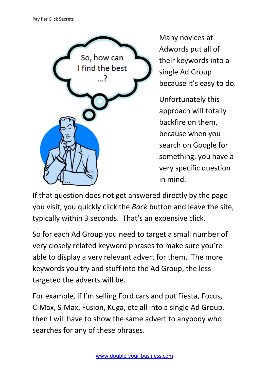

Many novices at Adwords put all of their keywords into a single Ad Group because it's easy to do.

Unfortunately this approach will totally backfire on them, because when you search on Google for something, you have a very specific question in mind.

If that question does not get answered directly by the page you visit, you quickly click the *Back* button and leave the site, typically within 3 seconds. That's an expensive click.

So for each Ad Group you need to target a small number of very closely related keyword phrases to make sure you're able to display a very relevant advert for them. The more keywords you try and stuff into the Ad Group, the less targeted the adverts will be.

For example, if I'm selling Ford cars and put Fiesta, Focus, C‐Max, S‐Max, Fusion, Kuga, etc all into a single Ad Group, then I will have to show the same advert to anybody who searches for any of these phrases.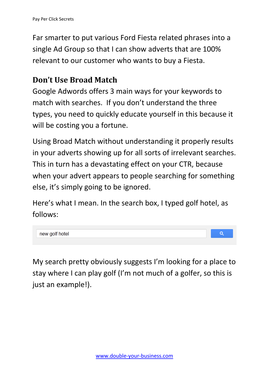Far smarter to put various Ford Fiesta related phrases into a single Ad Group so that I can show adverts that are 100% relevant to our customer who wants to buy a Fiesta.

### **Don't Use Broad Match**

Google Adwords offers 3 main ways for your keywords to match with searches. If you don't understand the three types, you need to quickly educate yourself in this because it will be costing you a fortune.

Using Broad Match without understanding it properly results in your adverts showing up for all sorts of irrelevant searches. This in turn has a devastating effect on your CTR, because when your advert appears to people searching for something else, it's simply going to be ignored.

Here's what I mean. In the search box, I typed golf hotel, as follows:



My search pretty obviously suggests I'm looking for a place to stay where I can play golf (I'm not much of a golfer, so this is just an example!).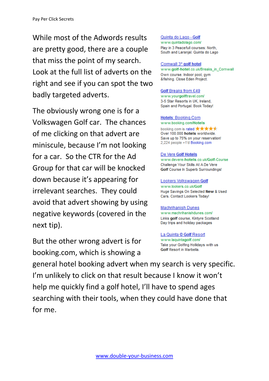While most of the Adwords results are pretty good, there are a couple that miss the point of my search. Look at the full list of adverts on the right and see if you can spot the two badly targeted adverts.

The obviously wrong one is for a Volkswagen Golf car. The chances of me clicking on that advert are miniscule, because I'm not looking for a car. So the CTR for the Ad Group for that car will be knocked down because it's appearing for irrelevant searches. They could avoid that advert showing by using negative keywords (covered in the next tip).

But the other wrong advert is for booking.com, which is showing a

Quinta do Lago - Golf www.quintadolago.com/ Play in 3 Peacefull courses: North, South and Laranjal. Quinta do Lago

#### Cornwall 3\* golf hotel

www.golf-hotel.co.uk/Breaks\_in\_Cornwall Own course. Indoor pool, gym &fishing. Close Eden Project.

#### **Golf Breaks from £49**

www.yourgolftravel.com/ 3-5 Star Resorts in UK, Ireland, Spain and Portugal. Book Today!

#### Hotels: Booking.Com

www.booking.com/Hotels

booking.com is rated \*\*\*\*\* Over 100.000 hotels worldwide. Save up to 75% on your reservation! 2,224 people +1'd Booking.com

#### De Vere Golf Hotels

www.devere-hotels.co.uk/Golf-Course Challenge Your Skills At A De Vere Golf Course In Superb Surroundings!

#### Lookers Volkswagen Golf

www.lookers.co.uk/Golf Huge Savings On Selected New & Used Cars. Contact Lookers Today!

#### **Machrihanish Dunes**

www.machrihanishdunes.com/ Links golf course, Kintyre Scotland Day trips and holiday packages

La Quinta @ Golf Resort www.laquintagolf.com/ Take your Golfing Hollidays with us Golf Resort in Marbella.

general hotel booking advert when my search is very specific. I'm unlikely to click on that result because I know it won't help me quickly find a golf hotel, I'll have to spend ages searching with their tools, when they could have done that for me.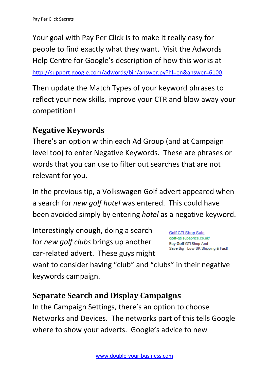Your goal with Pay Per Click is to make it really easy for people to find exactly what they want. Visit the Adwords Help Centre for Google's description of how this works at

http://support.google.com/adwords/bin/answer.py?hl=en&answer=6100.

Then update the Match Types of your keyword phrases to reflect your new skills, improve your CTR and blow away your competition!

### **Negative Keywords**

There's an option within each Ad Group (and at Campaign level too) to enter Negative Keywords. These are phrases or words that you can use to filter out searches that are not relevant for you.

In the previous tip, a Volkswagen Golf advert appeared when a search for *new golf hotel* was entered. This could have been avoided simply by entering *hotel* as a negative keyword.

Interestingly enough, doing a search for *new golf clubs* brings up another car‐related advert. These guys might

**Golf GTI Shop Sale** golf-gti.supaprice.co.uk/ Buy Golf GTI Shop And Save Big - Low UK Shipping & Fast!

want to consider having "club" and "clubs" in their negative keywords campaign.

### **Separate Search and Display Campaigns**

In the Campaign Settings, there's an option to choose Networks and Devices. The networks part of this tells Google where to show your adverts. Google's advice to new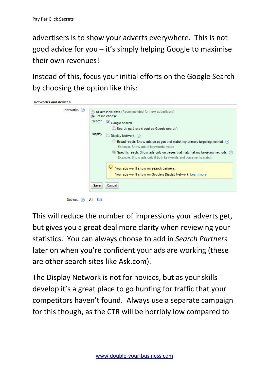advertisers is to show your adverts everywhere. This is not good advice for you – it's simply helping Google to maximise their own revenues!

Instead of this, focus your initial efforts on the Google Search by choosing the option like this:



This will reduce the number of impressions your adverts get, but gives you a great deal more clarity when reviewing your statistics. You can always choose to add in *Search Partners* later on when you're confident your ads are working (these are other search sites like Ask.com).

The Display Network is not for novices, but as your skills develop it's a great place to go hunting for traffic that your competitors haven't found. Always use a separate campaign for this though, as the CTR will be horribly low compared to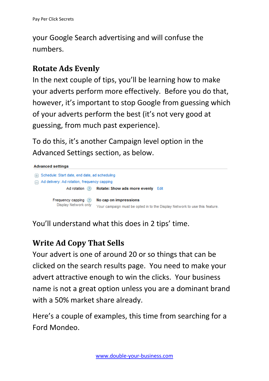your Google Search advertising and will confuse the numbers.

### **Rotate Ads Evenly**

In the next couple of tips, you'll be learning how to make your adverts perform more effectively. Before you do that, however, it's important to stop Google from guessing which of your adverts perform the best (it's not very good at guessing, from much past experience).

To do this, it's another Campaign level option in the Advanced Settings section, as below.



You'll understand what this does in 2 tips' time.

### **Write Ad Copy That Sells**

Your advert is one of around 20 or so things that can be clicked on the search results page. You need to make your advert attractive enough to win the clicks. Your business name is not a great option unless you are a dominant brand with a 50% market share already.

Here's a couple of examples, this time from searching for a Ford Mondeo.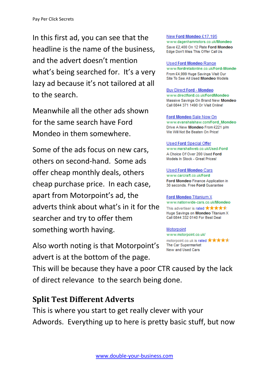In this first ad, you can see that the headline is the name of the business, and the advert doesn't mention what's being searched for. It's a very lazy ad because it's not tailored at all to the search.

Meanwhile all the other ads shown for the same search have Ford Mondeo in them somewhere.

Some of the ads focus on new cars, others on second‐hand. Some ads offer cheap monthly deals, others cheap purchase price. In each case, apart from Motorpoint's ad, the adverts think about what's in it for the searcher and try to offer them something worth having.

Also worth noting is that Motorpoint's advert is at the bottom of the page.

New Ford Mondeo £17,195 www.dagenhammotors.co.uk/Mondeo Save £2,400 On 12 Plate Ford Mondeo Edge Don't Miss This Offer Call Us

**Used Ford Mondeo Range** www.fordretailonline.co.uk/Ford-Monde From £4.999 Huge Savings Visit Our Site To See All Used Mondeo Models

**Buy Direct Ford - Mondeo** www.directford.co.uk/FordMondeo Massive Savings On Brand New Mondeo Call 0844 371 1490 Or Visit Online!

Ford Mondeo Sale Now On www.evanshalshaw.com/Ford Mondeo Drive A New Mondeo From £221 p/m We Will Not Be Beaten On Price!

**Used Ford Special Offer** www.marshallweb.co.uk/Used-Ford A Choice Of Over 200 Used Ford Models In Stock - Great Prices!

**Used Ford Mondeo Cars** www.carcraft.co.uk/Ford Ford Mondeo Finance Application in 30 seconds. Free Ford Guarantee

**Ford Mondeo Titanium X** www.nationwide-cars.co.uk/Mondeo This advertiser is rated  $\star\star\star\star\star$ Huge Savings on Mondeo Titanium X Call 0844 332 0140 For Best Deal

Motorpoint www.motorpoint.co.uk/

motorpoint.co.uk is rated  $\star\star\star\star\star$ The Car Supermarket New and Used Cars

This will be because they have a poor CTR caused by the lack of direct relevance to the search being done.

### **Split Test Different Adverts**

This is where you start to get really clever with your Adwords. Everything up to here is pretty basic stuff, but now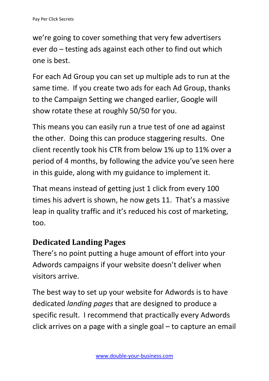we're going to cover something that very few advertisers ever do – testing ads against each other to find out which one is best.

For each Ad Group you can set up multiple ads to run at the same time. If you create two ads for each Ad Group, thanks to the Campaign Setting we changed earlier, Google will show rotate these at roughly 50/50 for you.

This means you can easily run a true test of one ad against the other. Doing this can produce staggering results. One client recently took his CTR from below 1% up to 11% over a period of 4 months, by following the advice you've seen here in this guide, along with my guidance to implement it.

That means instead of getting just 1 click from every 100 times his advert is shown, he now gets 11. That's a massive leap in quality traffic and it's reduced his cost of marketing, too.

### **Dedicated Landing Pages**

There's no point putting a huge amount of effort into your Adwords campaigns if your website doesn't deliver when visitors arrive.

The best way to set up your website for Adwords is to have dedicated *landing pages* that are designed to produce a specific result. I recommend that practically every Adwords click arrives on a page with a single goal – to capture an email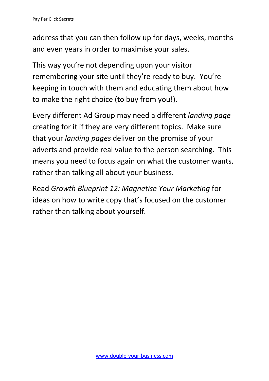address that you can then follow up for days, weeks, months and even years in order to maximise your sales.

This way you're not depending upon your visitor remembering your site until they're ready to buy. You're keeping in touch with them and educating them about how to make the right choice (to buy from you!).

Every different Ad Group may need a different *landing page* creating for it if they are very different topics. Make sure that your *landing pages* deliver on the promise of your adverts and provide real value to the person searching. This means you need to focus again on what the customer wants, rather than talking all about your business.

Read *Growth Blueprint 12: Magnetise Your Marketing* for ideas on how to write copy that's focused on the customer rather than talking about yourself.